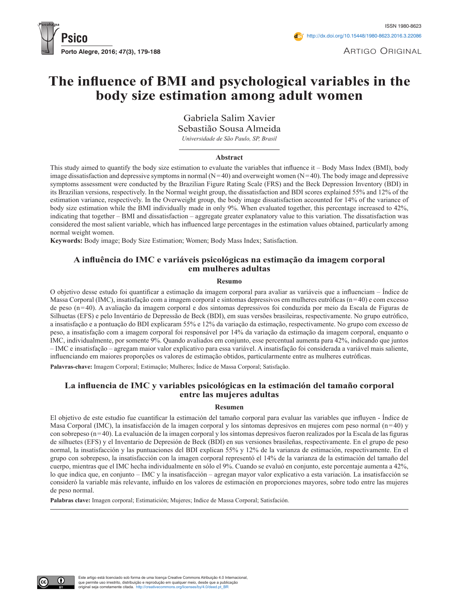

Artigo Original

# **The influence of bmi and psychological variables in the body size estimation among adult women**

Gabriela Salim Xavier

Sebastião Sousa Almeida

*Universidade de São Paulo, SP, Brasil*

#### **Abstract**

This study aimed to quantify the body size estimation to evaluate the variables that influence it – Body Mass Index (BMI), body image dissatisfaction and depressive symptoms in normal  $(N=40)$  and overweight women  $(N=40)$ . The body image and depressive symptoms assessment were conducted by the Brazilian Figure Rating Scale (FRS) and the Beck Depression Inventory (BDI) in its Brazilian versions, respectively. In the Normal weight group, the dissatisfaction and BDI scores explained 55% and 12% of the estimation variance, respectively. In the Overweight group, the body image dissatisfaction accounted for 14% of the variance of body size estimation while the BMI individually made in only 9%. When evaluated together, this percentage increased to 42%, indicating that together – BMI and dissatisfaction – aggregate greater explanatory value to this variation. The dissatisfaction was considered the most salient variable, which has influenced large percentages in the estimation values obtained, particularly among normal weight women.

**Keywords:** Body image; Body Size Estimation; Women; Body Mass Index; Satisfaction.

## **A influência do imc e variáveis psicológicas na estimação da imagem corporal em mulheres adultas**

#### **Resumo**

O objetivo desse estudo foi quantificar a estimação da imagem corporal para avaliar as variáveis que a influenciam – Índice de Massa Corporal (IMC), insatisfação com a imagem corporal e sintomas depressivos em mulheres eutróficas (n=40) e com excesso de peso (n=40). A avaliação da imagem corporal e dos sintomas depressivos foi conduzida por meio da Escala de Figuras de Silhuetas (EFS) e pelo Inventário de Depressão de Beck (BDI), em suas versões brasileiras, respectivamente. No grupo eutrófico, a insatisfação e a pontuação do BDI explicaram 55% e 12% da variação da estimação, respectivamente. No grupo com excesso de peso, a insatisfação com a imagem corporal foi responsável por 14% da variação da estimação da imagem corporal, enquanto o IMC, individualmente, por somente 9%. Quando avaliados em conjunto, esse percentual aumenta para 42%, indicando que juntos – IMC e insatisfação – agregam maior valor explicativo para essa variável. A insatisfação foi considerada a variável mais saliente, influenciando em maiores proporções os valores de estimação obtidos, particularmente entre as mulheres eutróficas.

**Palavras-chave:** Imagem Corporal; Estimação; Mulheres; Índice de Massa Corporal; Satisfação.

## **La influencia de imc y variables psicológicas en la estimación del tamaño corporal entre las mujeres adultas**

#### **Resumen**

El objetivo de este estudio fue cuantificar la estimación del tamaño corporal para evaluar las variables que influyen - Índice de Masa Corporal (IMC), la insatisfacción de la imagen corporal y los síntomas depresivos en mujeres com peso normal (n=40) y con sobrepeso (n=40). La evaluación de la imagen corporal y los síntomas depresivos fueron realizados por la Escala de las figuras de silhuetes (EFS) y el Inventario de Depresión de Beck (BDI) en sus versiones brasileñas, respectivamente. En el grupo de peso normal, la insatisfacción y las puntuaciones del BDI explican 55% y 12% de la varianza de estimación, respectivamente. En el grupo con sobrepeso, la insatisfacción con la imagen corporal representó el 14% de la varianza de la estimación del tamaño del cuerpo, mientras que el IMC hecha individualmente en sólo el 9%. Cuando se evaluó en conjunto, este porcentaje aumenta a 42%, lo que indica que, en conjunto – IMC y la insatisfacción – agregan mayor valor explicativo a esta variación. La insatisfacción se consideró la variable más relevante, influido en los valores de estimación en proporciones mayores, sobre todo entre las mujeres de peso normal.

**Palabras clave:** Imagen corporal; Estimatición; Mujeres; Indice de Massa Corporal; Satisfación.

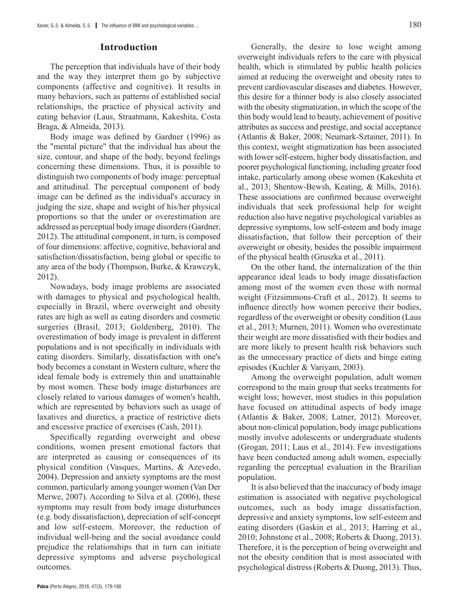## **Introduction**

The perception that individuals have of their body and the way they interpret them go by subjective components (affective and cognitive). It results in many behaviors, such as patterns of established social relationships, the practice of physical activity and eating behavior (Laus, Straatmann, Kakeshita, Costa Braga, & Almeida, 2013).

Body image was defined by Gardner (1996) as the "mental picture" that the individual has about the size, contour, and shape of the body, beyond feelings concerning these dimensions. Thus, it is possible to distinguish two components of body image: perceptual and attitudinal. The perceptual component of body image can be defined as the individual's accuracy in judging the size, shape and weight of his/her physical proportions so that the under or overestimation are addressed as perceptual body image disorders (Gardner, 2012). The attitudinal component, in turn, is composed of four dimensions: affective, cognitive, behavioral and satisfaction/dissatisfaction, being global or specific to any area of the body (Thompson, Burke, & Krawczyk, 2012).

Nowadays, body image problems are associated with damages to physical and psychological health, especially in Brazil, where overweight and obesity rates are high as well as eating disorders and cosmetic surgeries (Brasil, 2013; Goldenberg, 2010). The overestimation of body image is prevalent in different populations and is not specifically in individuals with eating disorders. Similarly, dissatisfaction with one's body becomes a constant in Western culture, where the ideal female body is extremely thin and unattainable by most women. These body image disturbances are closely related to various damages of women's health, which are represented by behaviors such as usage of laxatives and diuretics, a practice of restrictive diets and excessive practice of exercises (Cash, 2011).

Specifically regarding overweight and obese conditions, women present emotional factors that are interpreted as causing or consequences of its physical condition (Vasques, Martins, & Azevedo, 2004). Depression and anxiety symptoms are the most common, particularly among younger women (Van Der Merwe, 2007). According to Silva et al. (2006), these symptoms may result from body image disturbances (e.g. body dissatisfaction), depreciation of self-concept and low self-esteem. Moreover, the reduction of individual well-being and the social avoidance could prejudice the relationships that in turn can initiate depressive symptoms and adverse psychological outcomes.

Generally, the desire to lose weight among overweight individuals refers to the care with physical health, which is stimulated by public health policies aimed at reducing the overweight and obesity rates to prevent cardiovascular diseases and diabetes. However, this desire for a thinner body is also closely associated with the obesity stigmatization, in which the scope of the thin body would lead to beauty, achievement of positive attributes as success and prestige, and social acceptance (Atlantis & Baker, 2008; Neumark-Sztainer, 2011). In this context, weight stigmatization has been associated with lower self-esteem, higher body dissatisfaction, and poorer psychological functioning, including greater food intake, particularly among obese women (Kakeshita et al., 2013; Shentow-Bewsh, Keating, & Mills, 2016). These associations are confirmed because overweight individuals that seek professional help for weight reduction also have negative psychological variables as depressive symptoms, low self-esteem and body image dissatisfaction, that follow their perception of their overweight or obesity, besides the possible impairment of the physical health (Gruszka et al., 2011).

On the other hand, the internalization of the thin appearance ideal leads to body image dissatisfaction among most of the women even those with normal weight (Fitzsimmons-Craft et al., 2012). It seems to influence directly how women perceive their bodies, regardless of the overweight or obesity condition (Laus et al., 2013; Murnen, 2011). Women who overestimate their weight are more dissatisfied with their bodies and are more likely to present health risk behaviors such as the unnecessary practice of diets and binge eating episodes (Kuchler & Variyam, 2003).

Among the overweight population, adult women correspond to the main group that seeks treatments for weight loss; however, most studies in this population have focused on attitudinal aspects of body image (Atlantis & Baker, 2008; Latner, 2012). Moreover, about non-clinical population, body image publications mostly involve adolescents or undergraduate students (Grogan, 2011; Laus et al., 2014). Few investigations have been conducted among adult women, especially regarding the perceptual evaluation in the Brazilian population.

It is also believed that the inaccuracy of body image estimation is associated with negative psychological outcomes, such as body image dissatisfaction, depressive and anxiety symptoms, low self-esteem and eating disorders (Gaskin et al., 2013; Harring et al., 2010; Johnstone et al., 2008; Roberts & Duong, 2013). Therefore, it is the perception of being overweight and not the obesity condition that is most associated with psychological distress (Roberts & Duong, 2013). Thus,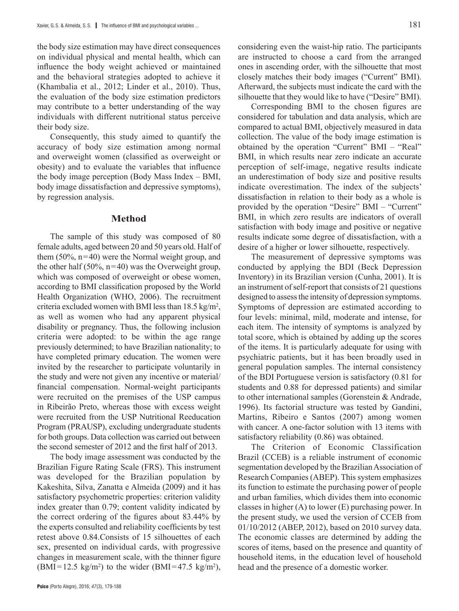the body size estimation may have direct consequences on individual physical and mental health, which can influence the body weight achieved or maintained and the behavioral strategies adopted to achieve it (Khambalia et al., 2012; Linder et al., 2010). Thus, the evaluation of the body size estimation predictors may contribute to a better understanding of the way individuals with different nutritional status perceive their body size.

Consequently, this study aimed to quantify the accuracy of body size estimation among normal and overweight women (classified as overweight or obesity) and to evaluate the variables that influence the body image perception (Body Mass Index – BMI, body image dissatisfaction and depressive symptoms), by regression analysis.

## **Method**

The sample of this study was composed of 80 female adults, aged between 20 and 50 years old. Half of them  $(50\%, n=40)$  were the Normal weight group, and the other half (50%,  $n=40$ ) was the Overweight group, which was composed of overweight or obese women, according to BMI classification proposed by the World Health Organization (WHO, 2006). The recruitment criteria excluded women with BMI less than  $18.5 \text{ kg/m}^2$ , as well as women who had any apparent physical disability or pregnancy. Thus, the following inclusion criteria were adopted: to be within the age range previously determined; to have Brazilian nationality; to have completed primary education. The women were invited by the researcher to participate voluntarily in the study and were not given any incentive or material/ financial compensation. Normal-weight participants were recruited on the premises of the USP campus in Ribeirão Preto, whereas those with excess weight were recruited from the USP Nutritional Reeducation Program (PRAUSP), excluding undergraduate students for both groups. Data collection was carried out between the second semester of 2012 and the first half of 2013.

The body image assessment was conducted by the Brazilian Figure Rating Scale (FRS). This instrument was developed for the Brazilian population by Kakeshita, Silva, Zanatta e Almeida (2009) and it has satisfactory psychometric properties: criterion validity index greater than 0.79; content validity indicated by the correct ordering of the figures about 83.44% by the experts consulted and reliability coefficients by test retest above 0.84.Consists of 15 silhouettes of each sex, presented on individual cards, with progressive changes in measurement scale, with the thinner figure  $(BMI = 12.5 \text{ kg/m}^2)$  to the wider  $(BMI = 47.5 \text{ kg/m}^2)$ , considering even the waist-hip ratio. The participants are instructed to choose a card from the arranged ones in ascending order, with the silhouette that most closely matches their body images ("Current" BMI). Afterward, the subjects must indicate the card with the silhouette that they would like to have ("Desire" BMI).

Corresponding BMI to the chosen figures are considered for tabulation and data analysis, which are compared to actual BMI, objectively measured in data collection. The value of the body image estimation is obtained by the operation "Current" BMI – "Real" BMI, in which results near zero indicate an accurate perception of self-image, negative results indicate an underestimation of body size and positive results indicate overestimation. The index of the subjects' dissatisfaction in relation to their body as a whole is provided by the operation "Desire" BMI – "Current" BMI, in which zero results are indicators of overall satisfaction with body image and positive or negative results indicate some degree of dissatisfaction, with a desire of a higher or lower silhouette, respectively.

The measurement of depressive symptoms was conducted by applying the BDI (Beck Depression Inventory) in its Brazilian version (Cunha, 2001). It is an instrument of self-report that consists of 21 questions designed to assess the intensity of depression symptoms. Symptoms of depression are estimated according to four levels: minimal, mild, moderate and intense, for each item. The intensity of symptoms is analyzed by total score, which is obtained by adding up the scores of the items. It is particularly adequate for using with psychiatric patients, but it has been broadly used in general population samples. The internal consistency of the BDI Portuguese version is satisfactory (0.81 for students and 0.88 for depressed patients) and similar to other international samples (Gorenstein & Andrade, 1996). Its factorial structure was tested by Gandini, Martins, Ribeiro e Santos (2007) among women with cancer. A one-factor solution with 13 items with satisfactory reliability (0.86) was obtained.

The Criterion of Economic Classification Brazil (CCEB) is a reliable instrument of economic segmentation developed by the Brazilian Association of Research Companies (ABEP). This system emphasizes its function to estimate the purchasing power of people and urban families, which divides them into economic classes in higher (A) to lower (E) purchasing power. In the present study, we used the version of CCEB from 01/10/2012 (ABEP, 2012), based on 2010 survey data. The economic classes are determined by adding the scores of items, based on the presence and quantity of household items, in the education level of household head and the presence of a domestic worker.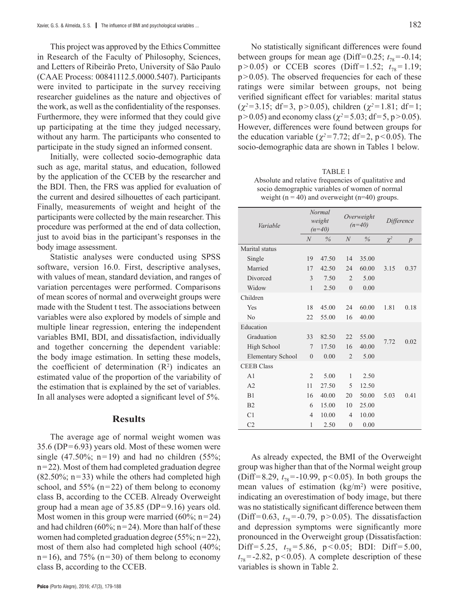This project was approved by the Ethics Committee in Research of the Faculty of Philosophy, Sciences, and Letters of Ribeirão Preto, University of São Paulo (CAAE Process: 00841112.5.0000.5407). Participants were invited to participate in the survey receiving researcher guidelines as the nature and objectives of the work, as well as the confidentiality of the responses. Furthermore, they were informed that they could give up participating at the time they judged necessary, without any harm. The participants who consented to participate in the study signed an informed consent.

Initially, were collected socio-demographic data such as age, marital status, and education, followed by the application of the CCEB by the researcher and the BDI. Then, the FRS was applied for evaluation of the current and desired silhouettes of each participant. Finally, measurements of weight and height of the participants were collected by the main researcher. This procedure was performed at the end of data collection, just to avoid bias in the participant's responses in the body image assessment.

Statistic analyses were conducted using SPSS software, version 16.0. First, descriptive analyses, with values of mean, standard deviation, and ranges of variation percentages were performed. Comparisons of mean scores of normal and overweight groups were made with the Student t test. The associations between variables were also explored by models of simple and multiple linear regression, entering the independent variables BMI, BDI, and dissatisfaction, individually and together concerning the dependent variable: the body image estimation. In setting these models, the coefficient of determination  $(R<sup>2</sup>)$  indicates an estimated value of the proportion of the variability of the estimation that is explained by the set of variables. In all analyses were adopted a significant level of 5%.

#### **Results**

The average age of normal weight women was 35.6 (DP=6.93) years old. Most of these women were single (47.50%; n=19) and had no children (55%; n=22). Most of them had completed graduation degree  $(82.50\%; n=33)$  while the others had completed high school, and  $55\%$  (n=22) of them belong to economy class B, according to the CCEB. Already Overweight group had a mean age of 35.85 (DP=9.16) years old. Most women in this group were married  $(60\%; n=24)$ and had children (60%;  $n=24$ ). More than half of these women had completed graduation degree (55%; n=22), most of them also had completed high school (40%;  $n=16$ ), and 75%  $(n=30)$  of them belong to economy class B, according to the CCEB.

No statistically significant differences were found between groups for mean age (Diff=0.25;  $t_{78}$ =-0.14;  $p > 0.05$ ) or CCEB scores (Diff=1.52;  $t_{78} = 1.19$ ;  $p > 0.05$ ). The observed frequencies for each of these ratings were similar between groups, not being verified significant effect for variables: marital status  $(\chi^2=3.15; df=3, p>0.05)$ , children  $(\chi^2=1.81; df=1;$  $p > 0.05$ ) and economy class ( $\chi^2 = 5.03$ ; df=5, p > 0.05). However, differences were found between groups for the education variable ( $\chi^2$ =7.72; df=2, p<0.05). The socio-demographic data are shown in Tables 1 below.

TABLE 1 Absolute and relative frequencies of qualitative and socio demographic variables of women of normal weight ( $n = 40$ ) and overweight ( $n = 40$ ) groups.

| Variable                 |                | Normal<br>weight<br>$(n=40)$ | Overweight<br>$(n=40)$ |       | Difference |                |
|--------------------------|----------------|------------------------------|------------------------|-------|------------|----------------|
|                          | $\overline{N}$ | $\%$                         | $\overline{N}$         | $\%$  | $\chi^2$   | $\overline{p}$ |
| Marital status           |                |                              |                        |       |            |                |
| Single                   | 19             | 47.50                        | 14                     | 35.00 |            |                |
| Married                  | 17             | 42.50                        | 24                     | 60.00 | 3.15       | 0.37           |
| Divorced                 | 3              | 7.50                         | $\overline{2}$         | 5.00  |            |                |
| Widow                    | $\mathbf{1}$   | 2.50                         | $\theta$               | 0.00  |            |                |
| Children                 |                |                              |                        |       |            |                |
| Yes                      | 18             | 45.00                        | 24                     | 60.00 | 1.81       | 0.18           |
| No                       | 22             | 55.00                        | 16                     | 40.00 |            |                |
| Education                |                |                              |                        |       |            |                |
| Graduation               | 33             | 82.50                        | 22                     | 55.00 |            |                |
| High School              | 7              | 17.50                        | 16                     | 40.00 | 7.72       | 0.02           |
| <b>Elementary School</b> | $\overline{0}$ | 0.00                         | $\overline{2}$         | 5.00  |            |                |
| <b>CEEB Class</b>        |                |                              |                        |       |            |                |
| A <sub>1</sub>           | $\overline{2}$ | 5.00                         | 1                      | 2.50  |            |                |
| A2                       | 11             | 27.50                        | 5                      | 12.50 |            |                |
| B1                       | 16             | 40.00                        | 20                     | 50.00 | 5.03       | 0.41           |
| B <sub>2</sub>           | 6              | 15.00                        | 10                     | 25.00 |            |                |
| C1                       | $\overline{4}$ | 10.00                        | $\overline{4}$         | 10.00 |            |                |
| C <sub>2</sub>           | $\mathbf{1}$   | 2.50                         | $\overline{0}$         | 0.00  |            |                |

As already expected, the BMI of the Overweight group was higher than that of the Normal weight group (Diff=8.29,  $t_{78}$ =-10.99, p<0.05). In both groups the mean values of estimation  $(kg/m<sup>2</sup>)$  were positive, indicating an overestimation of body image, but there was no statistically significant difference between them (Diff=0.63,  $t_{78}$ =-0.79, p>0.05). The dissatisfaction and depression symptoms were significantly more pronounced in the Overweight group (Dissatisfaction: Diff=5.25,  $t_{78}$ =5.86, p<0.05; BDI: Diff=5.00,  $t_{78}$ =-2.82, p<0.05). A complete description of these variables is shown in Table 2.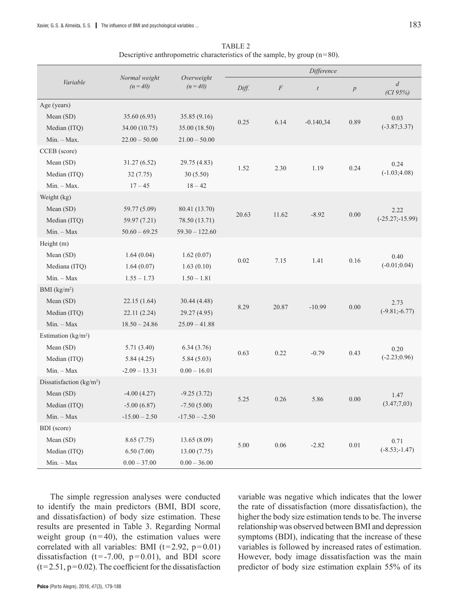|                                      |                             |                        |          | Difference |                  |                  |                            |  |  |
|--------------------------------------|-----------------------------|------------------------|----------|------------|------------------|------------------|----------------------------|--|--|
| Variable                             | Normal weight<br>$(n = 40)$ | Overweight<br>$(n=40)$ | Diff.    | $\cal F$   | $\boldsymbol{t}$ | $\boldsymbol{p}$ | $\overline{d}$<br>(CI 95%) |  |  |
| Age (years)                          |                             |                        |          |            |                  |                  |                            |  |  |
| Mean (SD)                            | 35.60 (6.93)                | 35.85 (9.16)           | 0.25     | 6.14       | $-0.140,34$      | 0.89             | 0.03                       |  |  |
| Median (ITQ)                         | 34.00 (10.75)               | 35.00 (18.50)          |          |            |                  |                  | $(-3.87; 3.37)$            |  |  |
| Min. - Max.                          | $22.00 - 50.00$             | $21.00 - 50.00$        |          |            |                  |                  |                            |  |  |
| CCEB (score)                         |                             |                        |          |            |                  |                  |                            |  |  |
| Mean (SD)                            | 31.27(6.52)                 | 29.75 (4.83)           | 1.52     | 2.30       | 1.19             | 0.24             | 0.24                       |  |  |
| Median (ITQ)                         | 32(7.75)                    | 30(5.50)               |          |            |                  |                  | $(-1.03; 4.08)$            |  |  |
| Min. - Max.                          | $17 - 45$                   | $18 - 42$              |          |            |                  |                  |                            |  |  |
| Weight (kg)                          |                             |                        |          |            |                  |                  |                            |  |  |
| Mean (SD)                            | 59.77 (5.09)                | 80.41 (13.70)          | 20.63    | 11.62      | $-8.92$          | 0.00             | 2.22                       |  |  |
| Median (ITQ)                         | 59.97 (7.21)                | 78.50 (13.71)          |          |            |                  |                  | $(-25.27,-15.99)$          |  |  |
| $Min. - Max$                         | $50.60 - 69.25$             | $59.30 - 122.60$       |          |            |                  |                  |                            |  |  |
| Height (m)                           |                             |                        |          |            |                  |                  |                            |  |  |
| Mean (SD)                            | 1.64(0.04)                  | 1.62(0.07)             | 0.02     | 7.15       | 1.41             | 0.16             | 0.40                       |  |  |
| Mediana (ITQ)                        | 1.64(0.07)                  | 1.63(0.10)             |          |            |                  |                  | $(-0.01; 0.04)$            |  |  |
| $Min. - Max$                         | $1.55 - 1.73$               | $1.50 - 1.81$          |          |            |                  |                  |                            |  |  |
| BMI $(kg/m2)$                        |                             |                        |          |            |                  |                  |                            |  |  |
| Mean (SD)                            | 22.15(1.64)                 | 30.44 (4.48)           | 8.29     | 20.87      | $-10.99$         | 0.00             | 2.73                       |  |  |
| Median (ITQ)                         | 22.11(2.24)                 | 29.27 (4.95)           |          |            |                  |                  | $(-9.81; -6.77)$           |  |  |
| $Min. - Max$                         | $18.50 - 24.86$             | $25.09 - 41.88$        |          |            |                  |                  |                            |  |  |
| Estimation (kg/m <sup>2</sup> )      |                             |                        |          |            |                  |                  |                            |  |  |
| Mean (SD)                            | 5.71(3.40)                  | 6.34(3.76)             | 0.63     | 0.22       | $-0.79$          | 0.43             | 0.20                       |  |  |
| Median (ITQ)                         | 5.84(4.25)                  | 5.84(5.03)             |          |            |                  |                  | $(-2.23;0.96)$             |  |  |
| $Min. - Max$                         | $-2.09 - 13.31$             | $0.00 - 16.01$         |          |            |                  |                  |                            |  |  |
| Dissatisfaction (kg/m <sup>2</sup> ) |                             |                        |          |            |                  |                  |                            |  |  |
| Mean (SD)                            | $-4.00(4.27)$               | $-9.25(3.72)$          | 5.25     | 0.26       | 5.86             | 0.00             | 1.47                       |  |  |
| Median (ITQ)                         | $-5.00(6.87)$               | $-7.50(5.00)$          |          |            |                  |                  | (3.47;7,03)                |  |  |
| $Min. - Max$                         | $-15.00 - 2.50$             | $-17.50 - -2.50$       |          |            |                  |                  |                            |  |  |
| BDI (score)                          |                             |                        |          |            |                  |                  |                            |  |  |
| Mean (SD)                            | 8.65(7.75)                  | 13.65 (8.09)           | $5.00\,$ | $0.06\,$   | $-2.82$          | $0.01\,$         | 0.71                       |  |  |
| Median (ITQ)                         | 6.50(7.00)                  | 13.00(7.75)            |          |            |                  |                  | $(-8.53; -1.47)$           |  |  |
| $Min. - Max$                         | $0.00 - 37.00$              | $0.00 - 36.00$         |          |            |                  |                  |                            |  |  |

TABLE 2 Descriptive anthropometric characteristics of the sample, by group  $(n=80)$ .

The simple regression analyses were conducted to identify the main predictors (BMI, BDI score, and dissatisfaction) of body size estimation. These results are presented in Table 3. Regarding Normal weight group  $(n=40)$ , the estimation values were correlated with all variables: BMI ( $t=2.92$ ,  $p=0.01$ ) dissatisfaction ( $t = -7.00$ ,  $p = 0.01$ ), and BDI score  $(t=2.51, p=0.02)$ . The coefficient for the dissatisfaction

variable was negative which indicates that the lower the rate of dissatisfaction (more dissatisfaction), the higher the body size estimation tends to be. The inverse relationship was observed between BMI and depression symptoms (BDI), indicating that the increase of these variables is followed by increased rates of estimation. However, body image dissatisfaction was the main predictor of body size estimation explain 55% of its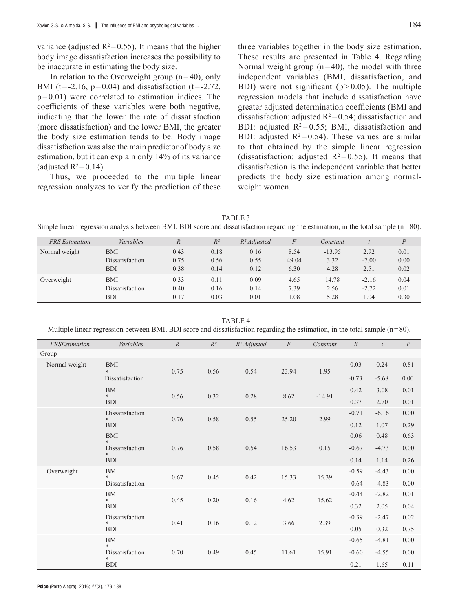In relation to the Overweight group  $(n=40)$ , only BMI (t=-2.16,  $p=0.04$ ) and dissatisfaction (t=-2.72,  $p=0.01$ ) were correlated to estimation indices. The coefficients of these variables were both negative, indicating that the lower the rate of dissatisfaction (more dissatisfaction) and the lower BMI, the greater the body size estimation tends to be. Body image dissatisfaction was also the main predictor of body size estimation, but it can explain only 14% of its variance (adjusted  $R^2=0.14$ ).

Thus, we proceeded to the multiple linear regression analyzes to verify the prediction of these three variables together in the body size estimation. These results are presented in Table 4. Regarding Normal weight group  $(n=40)$ , the model with three independent variables (BMI, dissatisfaction, and BDI) were not significant  $(p > 0.05)$ . The multiple regression models that include dissatisfaction have greater adjusted determination coefficients (BMI and dissatisfaction: adjusted  $R^2$ =0.54; dissatisfaction and BDI: adjusted  $R^2 = 0.55$ ; BMI, dissatisfaction and BDI: adjusted  $R^2 = 0.54$ ). These values are similar to that obtained by the simple linear regression (dissatisfaction: adjusted  $R^2 = 0.55$ ). It means that dissatisfaction is the independent variable that better predicts the body size estimation among normalweight women.

TABLE 3

Simple linear regression analysis between BMI, BDI score and dissatisfaction regarding the estimation, in the total sample (n=80).

| <b>FRS</b> Estimation | Variables       |      | $R^2$ | $R^2$ Adjusted | F     | Constant |         |      |
|-----------------------|-----------------|------|-------|----------------|-------|----------|---------|------|
| Normal weight         | <b>BMI</b>      | 0.43 | 0.18  | 0.16           | 8.54  | $-13.95$ | 2.92    | 0.01 |
|                       | Dissatisfaction | 0.75 | 0.56  | 0.55           | 49.04 | 3.32     | $-7.00$ | 0.00 |
|                       | <b>BDI</b>      | 0.38 | 0.14  | 0.12           | 6.30  | 4.28     | 2.51    | 0.02 |
| Overweight            | <b>BMI</b>      | 0.33 | 0.11  | 0.09           | 4.65  | 14.78    | $-2.16$ | 0.04 |
|                       | Dissatisfaction | 0.40 | 0.16  | 0.14           | 7.39  | 2.56     | $-2.72$ | 0.01 |
|                       | <b>BDI</b>      | 0.17 | 0.03  | 0.01           | 1.08  | 5.28     | 1.04    | 0.30 |

TABLE<sub>4</sub> Multiple linear regression between BMI, BDI score and dissatisfaction regarding the estimation, in the total sample  $(n=80)$ .

| FRSEstimation | Variables                 | $\mathbb{R}$ | $R^2$    | $R^2$ Adjusted | $\cal F$ | Constant | $\boldsymbol{B}$ | t       | $\boldsymbol{P}$ |
|---------------|---------------------------|--------------|----------|----------------|----------|----------|------------------|---------|------------------|
| Group         |                           |              |          |                |          |          |                  |         |                  |
| Normal weight | <b>BMI</b><br>$\ast$      | 0.75         | 0.56     | 0.54           | 23.94    | 1.95     | 0.03             | 0.24    | 0.81             |
|               | Dissatisfaction           |              |          |                |          |          | $-0.73$          | $-5.68$ | 0.00             |
|               | <b>BMI</b><br>$\ast$      | 0.56         | 0.32     | 0.28           | 8.62     | $-14.91$ | 0.42             | 3.08    | 0.01             |
|               | <b>BDI</b>                |              |          |                |          |          | 0.37             | 2.70    | 0.01             |
|               | Dissatisfaction<br>$*$    | 0.76         | 0.58     | 0.55           | 25.20    | 2.99     | $-0.71$          | $-6.16$ | $0.00\,$         |
|               | <b>BDI</b>                |              |          |                |          |          | 0.12             | 1.07    | 0.29             |
|               | <b>BMI</b><br>$\ast$      |              |          |                |          |          | 0.06             | 0.48    | 0.63             |
|               | Dissatisfaction<br>$\ast$ | 0.76         | 0.58     | 0.54           | 16.53    | 0.15     | $-0.67$          | $-4.73$ | 0.00             |
|               | <b>BDI</b>                |              |          |                |          |          | 0.14             | 1.14    | 0.26             |
| Overweight    | <b>BMI</b><br>$*$         | 0.67         | 0.45     | 0.42           | 15.33    | 15.39    | $-0.59$          | $-4.43$ | $0.00\,$         |
|               | Dissatisfaction           |              |          |                |          |          | $-0.64$          | $-4.83$ | 0.00             |
|               | <b>BMI</b><br>*           | 0.45         | 0.20     | 0.16           | 4.62     | 15.62    | $-0.44$          | $-2.82$ | 0.01             |
|               | <b>BDI</b>                |              |          |                |          |          | 0.32             | 2.05    | 0.04             |
|               | Dissatisfaction<br>$\ast$ | 0.41         | $0.16\,$ | 0.12           | 3.66     | 2.39     | $-0.39$          | $-2.47$ | 0.02             |
|               | <b>BDI</b>                |              |          |                |          |          | 0.05             | 0.32    | 0.75             |
|               | <b>BMI</b><br>$\ast$      |              |          |                |          |          | $-0.65$          | $-4.81$ | 0.00             |
|               | Dissatisfaction<br>$\ast$ | 0.70         | 0.49     | 0.45           | 11.61    | 15.91    | $-0.60$          | $-4.55$ | 0.00             |
|               | <b>BDI</b>                |              |          |                |          |          | 0.21             | 1.65    | 0.11             |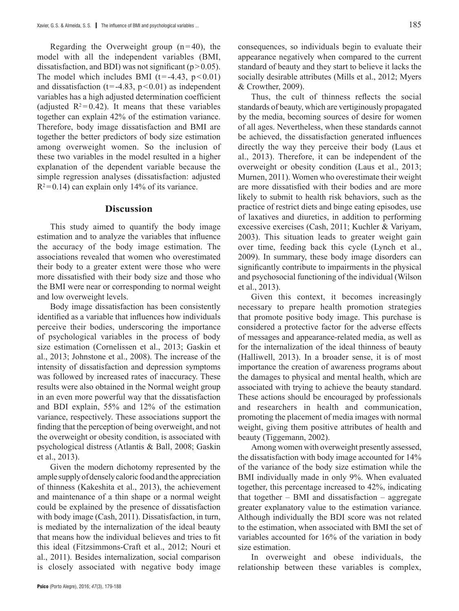Regarding the Overweight group  $(n=40)$ , the model with all the independent variables (BMI, dissatisfaction, and BDI) was not significant ( $p > 0.05$ ). The model which includes BMI  $(t = -4.43, p < 0.01)$ and dissatisfaction ( $t = -4.83$ ,  $p < 0.01$ ) as independent variables has a high adjusted determination coefficient (adjusted  $R^2 = 0.42$ ). It means that these variables together can explain 42% of the estimation variance. Therefore, body image dissatisfaction and BMI are together the better predictors of body size estimation among overweight women. So the inclusion of these two variables in the model resulted in a higher explanation of the dependent variable because the simple regression analyses (dissatisfaction: adjusted  $R^2$ =0.14) can explain only 14% of its variance.

## **Discussion**

This study aimed to quantify the body image estimation and to analyze the variables that influence the accuracy of the body image estimation. The associations revealed that women who overestimated their body to a greater extent were those who were more dissatisfied with their body size and those who the BMI were near or corresponding to normal weight and low overweight levels.

Body image dissatisfaction has been consistently identified as a variable that influences how individuals perceive their bodies, underscoring the importance of psychological variables in the process of body size estimation (Cornelissen et al., 2013; Gaskin et al., 2013; Johnstone et al., 2008). The increase of the intensity of dissatisfaction and depression symptoms was followed by increased rates of inaccuracy. These results were also obtained in the Normal weight group in an even more powerful way that the dissatisfaction and BDI explain, 55% and 12% of the estimation variance, respectively. These associations support the finding that the perception of being overweight, and not the overweight or obesity condition, is associated with psychological distress (Atlantis & Ball, 2008; Gaskin et al., 2013).

Given the modern dichotomy represented by the ample supply of densely caloric food and the appreciation of thinness (Kakeshita et al., 2013), the achievement and maintenance of a thin shape or a normal weight could be explained by the presence of dissatisfaction with body image (Cash, 2011). Dissatisfaction, in turn, is mediated by the internalization of the ideal beauty that means how the individual believes and tries to fit this ideal (Fitzsimmons-Craft et al., 2012; Nouri et al., 2011). Besides internalization, social comparison is closely associated with negative body image consequences, so individuals begin to evaluate their appearance negatively when compared to the current standard of beauty and they start to believe it lacks the socially desirable attributes (Mills et al., 2012; Myers & Crowther, 2009).

Thus, the cult of thinness reflects the social standards of beauty, which are vertiginously propagated by the media, becoming sources of desire for women of all ages. Nevertheless, when these standards cannot be achieved, the dissatisfaction generated influences directly the way they perceive their body (Laus et al., 2013). Therefore, it can be independent of the overweight or obesity condition (Laus et al., 2013; Murnen, 2011). Women who overestimate their weight are more dissatisfied with their bodies and are more likely to submit to health risk behaviors, such as the practice of restrict diets and binge eating episodes, use of laxatives and diuretics, in addition to performing excessive exercises (Cash, 2011; Kuchler & Variyam, 2003). This situation leads to greater weight gain over time, feeding back this cycle (Lynch et al., 2009). In summary, these body image disorders can significantly contribute to impairments in the physical and psychosocial functioning of the individual (Wilson et al., 2013).

Given this context, it becomes increasingly necessary to prepare health promotion strategies that promote positive body image. This purchase is considered a protective factor for the adverse effects of messages and appearance-related media, as well as for the internalization of the ideal thinness of beauty (Halliwell, 2013). In a broader sense, it is of most importance the creation of awareness programs about the damages to physical and mental health, which are associated with trying to achieve the beauty standard. These actions should be encouraged by professionals and researchers in health and communication, promoting the placement of media images with normal weight, giving them positive attributes of health and beauty (Tiggemann, 2002).

Among women with overweight presently assessed, the dissatisfaction with body image accounted for 14% of the variance of the body size estimation while the BMI individually made in only 9%. When evaluated together, this percentage increased to 42%, indicating that together – BMI and dissatisfaction – aggregate greater explanatory value to the estimation variance. Although individually the BDI score was not related to the estimation, when associated with BMI the set of variables accounted for 16% of the variation in body size estimation.

In overweight and obese individuals, the relationship between these variables is complex,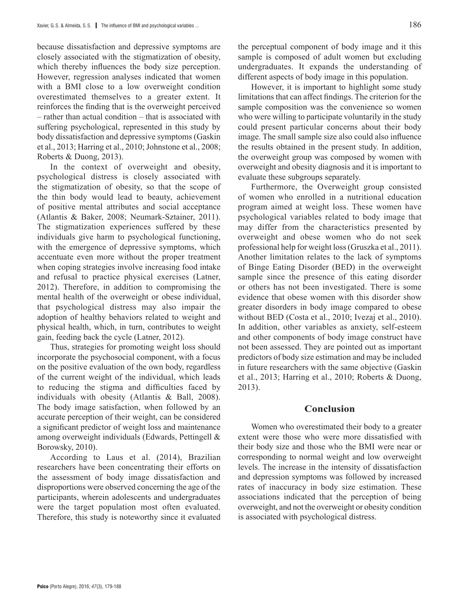because dissatisfaction and depressive symptoms are closely associated with the stigmatization of obesity, which thereby influences the body size perception. However, regression analyses indicated that women with a BMI close to a low overweight condition overestimated themselves to a greater extent. It reinforces the finding that is the overweight perceived – rather than actual condition – that is associated with suffering psychological, represented in this study by body dissatisfaction and depressive symptoms (Gaskin et al., 2013; Harring et al., 2010; Johnstone et al., 2008; Roberts & Duong, 2013).

In the context of overweight and obesity, psychological distress is closely associated with the stigmatization of obesity, so that the scope of the thin body would lead to beauty, achievement of positive mental attributes and social acceptance (Atlantis & Baker, 2008; Neumark-Sztainer, 2011). The stigmatization experiences suffered by these individuals give harm to psychological functioning, with the emergence of depressive symptoms, which accentuate even more without the proper treatment when coping strategies involve increasing food intake and refusal to practice physical exercises (Latner, 2012). Therefore, in addition to compromising the mental health of the overweight or obese individual, that psychological distress may also impair the adoption of healthy behaviors related to weight and physical health, which, in turn, contributes to weight gain, feeding back the cycle (Latner, 2012).

Thus, strategies for promoting weight loss should incorporate the psychosocial component, with a focus on the positive evaluation of the own body, regardless of the current weight of the individual, which leads to reducing the stigma and difficulties faced by individuals with obesity (Atlantis & Ball, 2008). The body image satisfaction, when followed by an accurate perception of their weight, can be considered a significant predictor of weight loss and maintenance among overweight individuals (Edwards, Pettingell & Borowsky, 2010).

According to Laus et al. (2014), Brazilian researchers have been concentrating their efforts on the assessment of body image dissatisfaction and disproportions were observed concerning the age of the participants, wherein adolescents and undergraduates were the target population most often evaluated. Therefore, this study is noteworthy since it evaluated

the perceptual component of body image and it this sample is composed of adult women but excluding undergraduates. It expands the understanding of different aspects of body image in this population.

However, it is important to highlight some study limitations that can affect findings. The criterion for the sample composition was the convenience so women who were willing to participate voluntarily in the study could present particular concerns about their body image. The small sample size also could also influence the results obtained in the present study. In addition, the overweight group was composed by women with overweight and obesity diagnosis and it is important to evaluate these subgroups separately.

Furthermore, the Overweight group consisted of women who enrolled in a nutritional education program aimed at weight loss. These women have psychological variables related to body image that may differ from the characteristics presented by overweight and obese women who do not seek professional help for weight loss (Gruszka et al., 2011). Another limitation relates to the lack of symptoms of Binge Eating Disorder (BED) in the overweight sample since the presence of this eating disorder or others has not been investigated. There is some evidence that obese women with this disorder show greater disorders in body image compared to obese without BED (Costa et al., 2010; Ivezaj et al., 2010). In addition, other variables as anxiety, self-esteem and other components of body image construct have not been assessed. They are pointed out as important predictors of body size estimation and may be included in future researchers with the same objective (Gaskin et al., 2013; Harring et al., 2010; Roberts & Duong, 2013).

## **Conclusion**

Women who overestimated their body to a greater extent were those who were more dissatisfied with their body size and those who the BMI were near or corresponding to normal weight and low overweight levels. The increase in the intensity of dissatisfaction and depression symptoms was followed by increased rates of inaccuracy in body size estimation. These associations indicated that the perception of being overweight, and not the overweight or obesity condition is associated with psychological distress.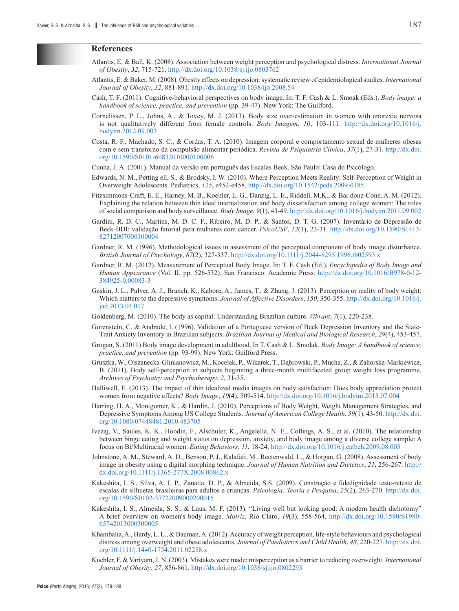#### **References**

- Atlantis, E. & Ball, K. (2008). Association between weight perception and psychological distress. *International Journal of Obesity*, *32*, 715-721.<http://dx.doi.org/10.1038/sj.ijo.0803762>
- Atlantis, E. & Baker, M. (2008). Obesity effects on depression: systematic review of epidemiological studies. *International Journal of Obesity*, *32*, 881-891.<http://dx.doi.org/10.1038/ijo.2008.54>
- Cash, T. F. (2011). Cognitive-behavioral perspectives on body image. In: T. F. Cash & L. Smoak (Eds.). *Body image: a handbook of science, practice, and prevention* (pp. 39-47). New York: The Guilford.
- Cornelissen, P. L., Johns, A., & Tovey, M. J. (2013). Body size over-estimation in women with anorexia nervosa is not qualitatively different from female controls. *Body Imagem*, *10*, 103-111. [http://dx.doi.org/10.1016/j.](http://dx.doi.org/10.1016/j.bodyim.2012.09.003) [bodyim.2012.09.003](http://dx.doi.org/10.1016/j.bodyim.2012.09.003)
- Costa, R. F., Machado, S. C., & Cordas, T. A. (2010). Imagem corporal e comportamento sexual de mulheres obesas com e sem transtorno da compulsão alimentar periódica. *Revista de Psiquiatria Clínica*, *37*(1), 27-31. [http://dx.doi.](http://dx.doi.org/10.1590/S0101-60832010000100006) [org/10.1590/S0101-60832010000100006](http://dx.doi.org/10.1590/S0101-60832010000100006)
- Cunha, J. A. (2001). Manual da versão em português das Escalas Beck. São Paulo: Casa do Psicólogo.
- Edwards, N. M., Petting ell, S., & Brodsky, I. W. (2010). Where Perception Meets Reality: Self-Perception of Weight in Overweight Adolescents. Pediatrics, *125*, e452-e458.<http://dx.doi.org/10.1542/peds.2009-0185>
- Fitzsimmons-Craft, E. E., Harney, M. B., Koehler, L. G., Danzig, L. E., Riddell, M.K., & Bar done-Cone, A. M. (2012). Explaining the relation between thin ideal internalization and body dissatisfaction among college women: The roles of social comparison and body surveillance. *Body Image*, *9*(1), 43-49.<http://dx.doi.org/10.1016/j.bodyim.2011.09.002>
- Gardini, R. D. C., Martins, M. D. C. F., Ribeiro, M. D. P., & Santos, D. T. G. (2007). Inventário de Depressão de Beck-BDI: validação fatorial para mulheres com câncer. *PsicoUSF*, *12*(1), 23-31. [http://dx.doi.org/10.1590/S1413-](http://dx.doi.org/10.1590/S1413-82712007000100004) [82712007000100004](http://dx.doi.org/10.1590/S1413-82712007000100004)
- Gardner, R. M. (1996). Methodological issues in assessment of the perceptual component of body image disturbance. *British Journal of Psychology*, *87*(2), 327-337. <http://dx.doi.org/10.1111/j.2044-8295.1996.tb02593.x>
- Gardner, R. M. (2012). Measurement of Perceptual Body Image. In: T. F. Cash (Ed.), *Encyclopedia of Body Image and Human Appearance* (Vol. II, pp. 526-532). San Francisco: Academic Press. [http://dx.doi.org/10.1016/B978-0-12-](http://dx.doi.org/10.1016/B978-0-12-384925-0.00083-3) [384925-0.00083-3](http://dx.doi.org/10.1016/B978-0-12-384925-0.00083-3)
- Gaskin, J. L., Pulver, A. J., Branch, K., Kabore, A., James, T., & Zhang, J. (2013). Perception or reality of body weight: Which matters to the depressive symptoms. *Journal of Affective Disorders*, *150*, 350-355. [http://dx.doi.org/10.1016/j.](http://dx.doi.org/10.1016/j.jad.2013.04.017) [jad.2013.04.017](http://dx.doi.org/10.1016/j.jad.2013.04.017)
- Goldenberg, M. (2010). The body as capital: Understanding Brazilian culture. *Vibrant*, *7*(1), 220-238.
- Gorenstein, C. & Andrade, L (1996). Validation of a Portuguese version of Beck Depression Inventory and the State-Trait Anxiety Inventory in Brazilian subjects. *Brazilian Journal of Medical and Biological Research*, *29*(4), 453-457.
- Grogan, S. (2011) Body image development in adulthood. In T. Cash & L. Smolak. *Body Image: A handbook of science, practice, and prevention* (pp. 93-99). New York: Guilford Press.
- Gruszka, W., Olszanecka-Glinianowicz, M., Kocełak, P., Wikarek, T., Dąbrowski, P., Mucha, Z., & Zahorska-Markiewicz, B. (2011). Body self-perception in subjects beginning a three-month multifaceted group weight loss programme. *Archives of Psychiatry and Psychotherapy*, *2*, 31-35.
- Halliwell, E. (2013). The impact of thin idealized media images on body satisfaction: Does body appreciation protect women from negative effects? *Body Image*, *10*(4), 509-514.<http://dx.doi.org/10.1016/j.bodyim.2013.07.004>
- Harring, H. A., Montgomer, K., & Hardin, J. (2010). Perceptions of Body Weight, Weight Management Strategies, and Depressive Symptoms Among US College Students. *Journal of American College Health*, *59*(1), 43-50. [http://dx.doi.](http://dx.doi.org/10.1080/07448481.2010.483705) [org/10.1080/07448481.2010.483705](http://dx.doi.org/10.1080/07448481.2010.483705)
- Ivezaj, V., Saules, K. K., Hoodin, F., Alschuler, K., Angelella, N. E., Collings, A. S., et al. (2010). The relationship between binge eating and weight status on depression, anxiety, and body image among a diverse college sample: A focus on Bi/Multiracial women. *Eating Behaviors*, *11*, 18-24. <http://dx.doi.org/10.1016/j.eatbeh.2009.08.003>
- Johnstone, A. M., Steward, A. D., Benson, P. J., Kalafati, M., Rectenwald, L., & Horgan, G. (2008). Assessment of body image in obesity using a digital morphing technique. *Journal of Human Nutrition and Dietetics*, *21*, 256-267. [http://](http://dx.doi.org/10.1111/j.1365-277X.2008.00862.x) [dx.doi.org/10.1111/j.1365-277X.2008.00862.x](http://dx.doi.org/10.1111/j.1365-277X.2008.00862.x)
- Kakeshita, I. S., Silva, A. I. P., Zanatta, D. P., & Almeida, S.S. (2009). Construção e fidedignidade teste-reteste de escalas de silhuetas brasileiras para adultos e crianças. *Psicologia: Teoria e Pesquisa*, *25*(2), 263-270. [http://dx.doi.](http://dx.doi.org/10.1590/S0102-37722009000200015) [org/10.1590/S0102-37722009000200015](http://dx.doi.org/10.1590/S0102-37722009000200015)
- Kakeshita, I. S., Almeida, S. S., & Laus, M. F. (2013). "Living well but looking good: A modern health dichotomy" A brief overview on women's body image. *Motriz*, Rio Claro, *19*(3), 558-564. [http://dx.doi.org/10.1590/S1980-](http://dx.doi.org/10.1590/S1980-65742013000300005) [65742013000300005](http://dx.doi.org/10.1590/S1980-65742013000300005)
- Khambalia, A., Hardy, L. L., & Bauman, A. (2012). Accuracy of weight perception, life-style behaviours and psychological distress among overweight and obese adolescents. *Journal of Paediatrics and Child Health*, *48*, 220-227. [http://dx.doi.](http://dx.doi.org/10.1111/j.1440-1754.2011.02258.x) [org/10.1111/j.1440-1754.2011.02258.x](http://dx.doi.org/10.1111/j.1440-1754.2011.02258.x)
- Kuchler, F. & Variyam, J. N. (2003). Mistakes were made: misperception as a barrier to reducing overweight. *International Journal of Obesity*, *27*, 856-861.<http://dx.doi.org/10.1038/sj.ijo.0802293>